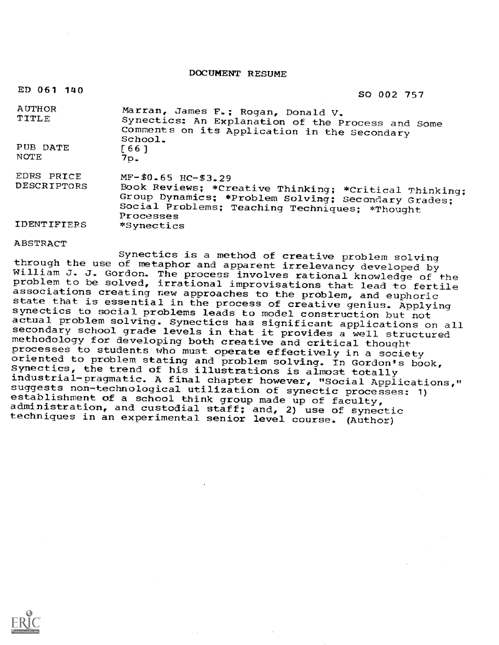DOCUMENT RESUME

| ED 061 140                       | SO 002 757                                                                                                                                                                                          |
|----------------------------------|-----------------------------------------------------------------------------------------------------------------------------------------------------------------------------------------------------|
| AUTHOR<br>TITLE                  | Marran, James F.; Rogan, Donald V.<br>Synectics: An Explanation of the Process and Some<br>Comments on its Application in the Secondary<br>School.                                                  |
| PUB DATE<br>NOTE                 | $[66]$<br>־פל.                                                                                                                                                                                      |
| EDRS PRICE<br><b>DESCRIPTORS</b> | $MF-$0.65$ HC-\$3.29<br>Book Reviews; *Creative Thinking; *Critical Thinking;<br>Group Dynamics: *Problem Solving: Secondary Grades;<br>Social Problems; Teaching Techniques; *Thought<br>Processes |
| <b>IDENTIFIERS</b>               | *Synectics                                                                                                                                                                                          |

ABSTRACT Synectics is a method of creative problem solving through the use of metaphor and apparent irrelevancy developed by<br>William J. J. Gordon. The process involves rational knowledge of the<br>problem to be solved, irrational improvisations that lead to fertile<br>associations creat state that is essential in the process of creative genius. Applying<br>synectics to social problems leads to model construction but not<br>actual problem solving. Synectics has significant applications on all<br>secondary school gr methodology for developing both creative and critical thought<br>processes to students who must operate effectively in a society oriented to problem stating and problem solving. In Gordon's book,<br>Synectics, the trend of his illustrations is almost totally<br>industrial-pragmatic. A final chapter however, "Social Applications," suggests non-technological utilization of synectic processes: 1)<br>establishment of a school think group made up of faculty,<br>administration, and custodial staff; and, 2) use of synectic techniques in an experimental senior level course. (Author)

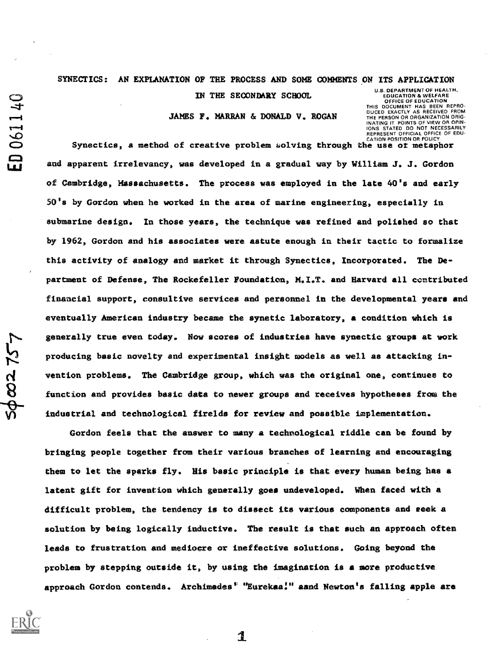SYNECTICS: AN EXPLANATION OF THE PROCESS AND SOME COMMENTS ON ITS APPLICATION

IN THE SECONDARY SCHOOL

JAMES F. MARRAN & DONALD V. ROGAN

U.S. DEPARTMENT OF HEALTH. EDUCATION & WELFARE OFFICE OF EDUCATION THIS DOCUMENT HAS BEEN REPRO-**COLOMENT THIS BELLY ALTIMATE**<br>CUCED EXACTLY AS RECEIVED FROM<br>THE PERSON OR ORGANIZATION ORIG-INATING IT POINTS OF VIEW OR OPIN-IONS STATED DO NOT NECESSARILY REPRESENT OFFICIAL OFFICE OF EDU-CATION POSITION OR POLICY.

Synectics, a method of creative problem solving through the use of metaphor and apparent irrelevancy, was developed in a gradual way by William J. J. Gordon of Cambridge, Massachusetts. The process was employed in the late 40's and early 50's by Gordon when he worked in the area of marine engineering, especially in submarine design. In those years, the technique was refined and polished so that by 1962, Gordon and his associates were astute enough in their tactic to formalize this activity of analogy and market it through Synectics, Incorporated. The Department of Defense, The Rockefeller Foundation, N.I.T. and Harvard all contributed financial support, consultive services and personnel in the developmental years and eventually American industry became the synetic laboratory, a condition which is generally true even today. Now scores of industries have synectic groups at work producing basic novelty and experimental insight models as well as attacking invention problems. The Cambridge group, which was the original one, continues to function and provides basic data to newer groups and receives hypotheses from the industrial and technological firelds for review and possible implementation.

Gordon feels that the answer to many a technological riddle can be found by bringing people together from their various branches of learning and encouraging them to let the sparks fly. His basic principle is that every human being has a latent gift for invention which generally goes undeveloped. When faced with a difficult problem, the tendency is to dissect its various componenta and eeek a solution by being logically inductive. The result is that such an approach often leads to frustration and mediocre or ineffective solutions. Going beyond the problem by stepping outside it, by using the imagination is a more productive approach Gordon contends. Archimedes<sup>t</sup> "Eurekaa!" aand Newton's falling apple are



2275

ED 061140

1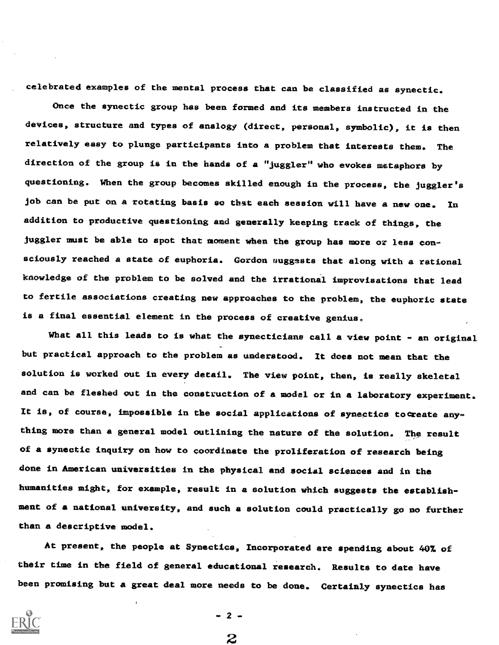celebrated examples of the mental process that can be classified as synectic.

Once the synectic group has been formed and its members instructed in the devices, structure and types of analogy (direct, personal, symbolic), it is then relatively easy to plunge participants into a problem that interests them. The direction of the group is in the hands of a "juggler" who evokes metaphors by questioning. When the group becomes skilled enough in the process, the juggler's job can be put on a rotating basis so that each seseion will have a new one. In addition to productive questioning and generally keeping track of things, the juggler must be able to spot that moment when the group has more or less consciously reached a state of euphoria. Cordon suggssts that along with a rational kaowledge of the problem to be solved and the irrational improvisations that lead to fertile associations creating new approaches to the problem, the euphoric state is a final essential element in the process of creative genius.

What all this leads to is what the synecticians call a view point - an original but practical approach to the problem as understood. It does not mean that the solution is worked out in every detail. The view point, then, is really skeletal and can be fleshed out in the construction of a model or in a laboratory experiment. It is, of course, impossible in the social applications of synectics to create anything more than a general model outlining the nature of the solution. The result of a synectic inquiry on how to coordinate the proliferation of research being done in American universities in the physical and social sciences and in the humanities might, for example, result in a solution which suggests the establishment of a national university, and such a solution could practically go no further than a descriptive model.

At present, the people at Synectics, Incorporated are spending about 40% of their time in the field of general educational research. Results to date have been promising but a great deal more needs to be done. Certainly synectics has

 $-2-$ 

2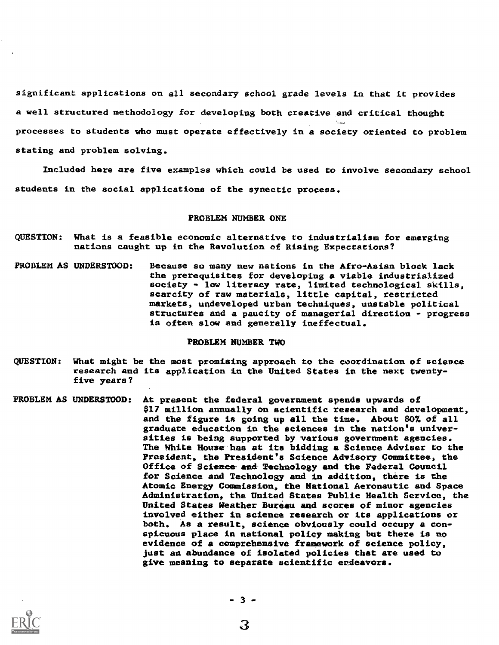significant applications on all secondary school grade levels in that it provides a well structured methodology for developing both creative and critical thought processes to students who must operate effectively in a society oriented to problem stating and problem solving.

Included here are ftve examples which could be used to involve secondary school students in the social applications of the synectic process.

#### PROBLEM NUMBER ONE

- QUESTION: What is a feasible economic alternative to industrialism for emerging nations caught up in the Revolution of Rising Expectations?
- PROBLEM AS UNDERSTOOD: Because so many new nations in the Afro-Asian block lack the prerequisites for developing a viable industrialized society - low literacy rate, limited technological skills, scarcity of raw materials, little capital, restricted markets, undeveloped urban techniques, unstable political structures and a paucity of managerial direction - progress is often slow and generally ineffectual.

#### PROBLEM NUMBER TWO

- QUESTION: What might be the most promising approach to the coordination of science research and its application in the United States in the next twentyfive years?
- PROBLEM AS UNDERSTOOD: At present the federal government spends upwards of \$17 million annually on scientific research and development, and the figure is going up all the time. About 80% of all graduate education in the sciences in the nation's universities is being supported by various government agencies. The White House has at its bidding a Science Adviser to the President, the President's Science Advisory Committee, the Office of Science and Technology and the Federal Council for Science and Technology and in addition, there is the Atomic Energy Commission, the National Aeronautic and Space Administration, the United States Public Health Service, the United States Weather Bureau and scores of minor agencies involved either in science research or its applications or both. As a result, science obviously could occupy a conspicuous place in national policy making but there is no evidence of a comprehensive framework of science policy, just an abundance of isolated policies that are used to give meaning to separate scientific erdeavors.



3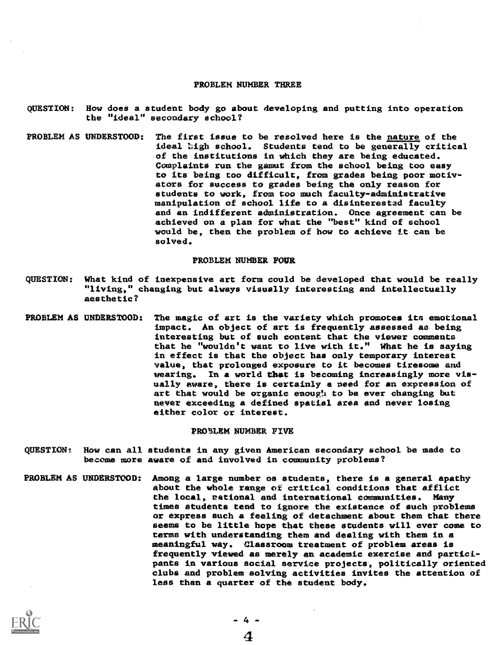#### PROBLEM NUMBER THREE

- QUESTION: How does a student body go about developing and putting into operation the "ideal' secondary school?
- PROBLEM AS UNDERSTOOD: The first issue to be resolved here is the nature of the ideal high school. Students tend to be generally critical of the institutions in which they are being educated. Complaints run the gamut from the school being too easy to its being too difficult, from grades being poor motivators for success to grades being the only reason for students to work, from too much faculty-administrative manipulation of school life to a disinterestad faculty and an indifferent administration. Once agreement can be achieved on a plan for what the "best" kind of school would be, then the problem of how to achieve it can be solved.

### PROBLEM NUMBER FOUR

- QUESTION: What kind of inexpensive art form could be developed that would be really "living," changing but always visually interesting and intellectually aesthetic?
- PROBLEM AS UNDERSTOOD: The magic of art is the variety which promotes its emotional impact. An object of art is frequently assessed as being interesting but of such content that the viewer comments that he "wouldn't want to live with it." What he is saying in effect is that the object has only temporary interest value, that prolonged exposure to it becomes tiresome and wearing. In a world that is becoming increasingly more visually aware, there is certainly a need for an expression of art that would be organic enough to be ever changing but never exceeding a defined spatial area and never losing either color or interest.

### PRO5LEM NUMBER FIVE

- $\texttt{OUESTION:}$ How can all students in any given American secondary school be made to become more aware of and involved in community problems?
- PROBLEM AS Among a large number os students, there is a general apathy about the whole range of critical conditions that afflict the local, rational and international communities. Many times students tend to ignore the existence of such problems or express such a feeling of detachment about them that there seems to be little hope that these students will ever come to terms with understanding them and dealing with them in a meaningful way. Classroom treatment of problem areas is frequently viewed as merely an academic exercise and participants in various social service projects, politically oriented clubs and problem solving activities invites the attention of less than a quarter of the student body.

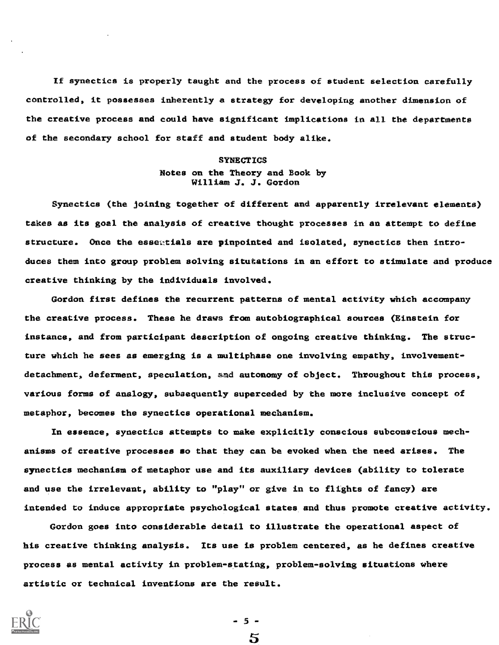If synectics is properly taught and the process of student selection carefully controlled, it possesses inherently a strategy for developing another dimension the creative process and could have significant implications in all the departments of the secondary school for staff and student body alike.

# **SYNECTICS** Notes on the Theory and Book by William J. J. Gordon

Synectics (the joining together of different and apparently irrelevant elements) takes as its goal the analysis of creative thought processes in an attempt to define structure. Once the essentials are pinpointed and isolated, synectics then introduces them into group problem solving situtations in an effort to stimulate and produce creative thinking by the individuals involved.

Gordon first defines the recurrent patterns of mental activity which accompany the creative process. These he draws from autobiographical sources (Einstein for instance, and from participant description of ongoing creative thinking. The structure which he sees as emerging is a multiphase one involving empathy, involvementdetachment, deferment, speculation, and autonomy of object. Throughout this process, various forms of analogy, subsequently superceded by the more inclusive concept of metaphor, becomes the synectics operational mechanism.

In essence, synectics attempts to make explicitly conscious subconscious mechanisms of creative processes so that they can be evoked when the need arises. The synectics mechaniam of metaphor use and its auxiliary devices (ability to tolerate and use the irrelevant, ability to "play" or give in to flights of fancy) are intended to induce appropriate psychological states and thus promote creative activity.

Gordon goes into considerable detail to illustrate the operational aspect of his creative thinking analysis. Its use is problem centered, as he defines creative process as mental activity in problem-stating, problem-solving situations where artistic or technical inventions are the result



5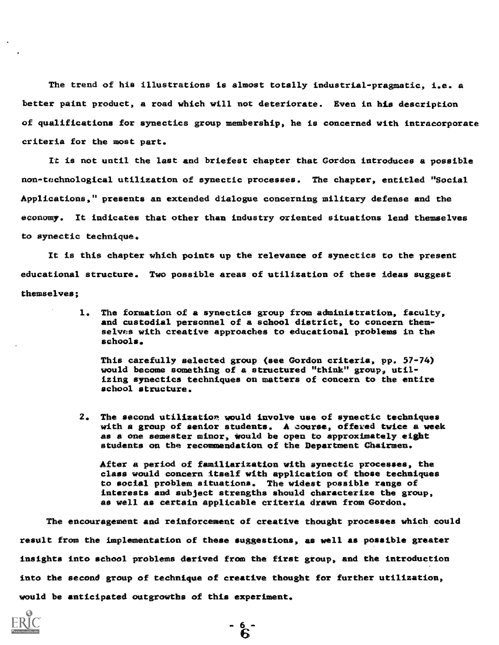The trend of his illustrations is almost totally industrial-pragmatic, i.e. a better paint product, a road which will not deteriorate. Even in his description of qualifications for synectics group membership, he is concerned with intracorporate criteria for the most part.

It is not until the last and briefest chapter that Gordon introduces a possible non-technological utilization of synectic processes. The chapter, entitled "Social Applications," presents an extended dialogue concerning military defense and the economy. It indicates that other than industry oriented situations lend themselves to synectic technique.

It is this chapter which points up the relevance of synectics to the present educational structure. Two possible areas of utilization of these ideas suggest themselves;

> 1. The formation of a synectics group from administration, faculty, and custodial personnel of a school district, to concern themselves with creative approaches to educational problems in the schools.

This carefully selected group (see Gordon criteria, pp. 57-74) would become something of a structured "think" group, utilizing synectics techniques on matters of concern to the entire school structure.

2. The second utilization would involve use of synectic techniques with a group of senior students. A course, offered twice a week as a one semester minor, Would be open to approximately eight students on the recommendation of the Department Chairmen.

After a period of familiarization with synectic processes, the class would concern itself with application of those techniques to social problem situations. The widest possible range of interests and subject strengths should characterize the group, as well as certain applicable criteria drawn from Gordon.

The encouragement and reinforcement of creative thought processes which could result from the implementation of these suggestions, as well as possible greater insights into school problems derived from the first group, and the introduction into the second group of technique of creative thought for further utilization, would be anticipated outgrowths of this experiment.

້ ຂີ